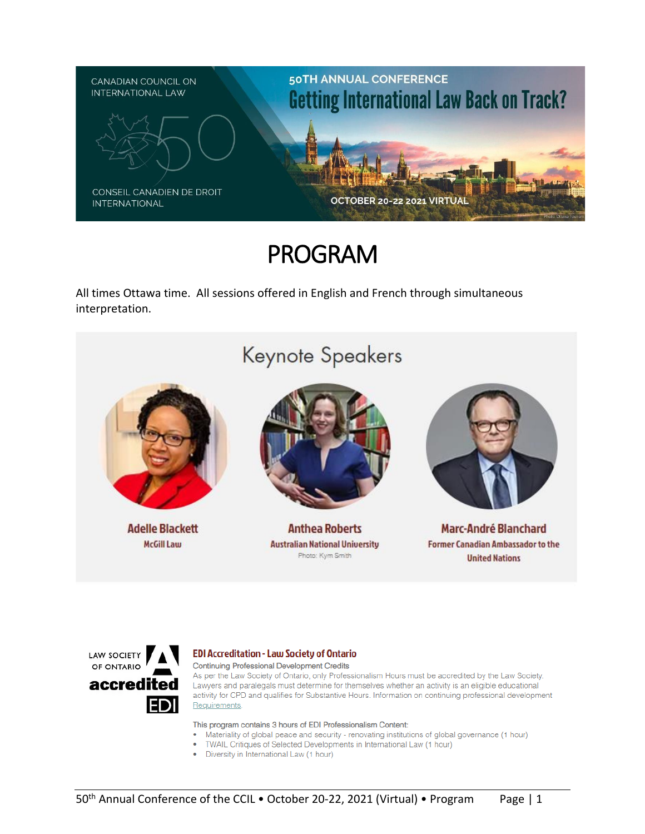

# PROGRAM

All times Ottawa time. All sessions offered in English and French through simultaneous interpretation.





#### **EDI Accreditation - Law Society of Ontario**

**Continuing Professional Development Credits** 

As per the Law Society of Ontario, only Professionalism Hours must be accredited by the Law Society. Lawyers and paralegals must determine for themselves whether an activity is an eligible educational activity for CPD and qualifies for Substantive Hours. Information on continuing professional development Requirements.

This program contains 3 hours of EDI Professionalism Content:

- Materiality of global peace and security renovating institutions of global governance (1 hour)
- TWAIL Critiques of Selected Developments in International Law (1 hour)
- Diversity in International Law (1 hour)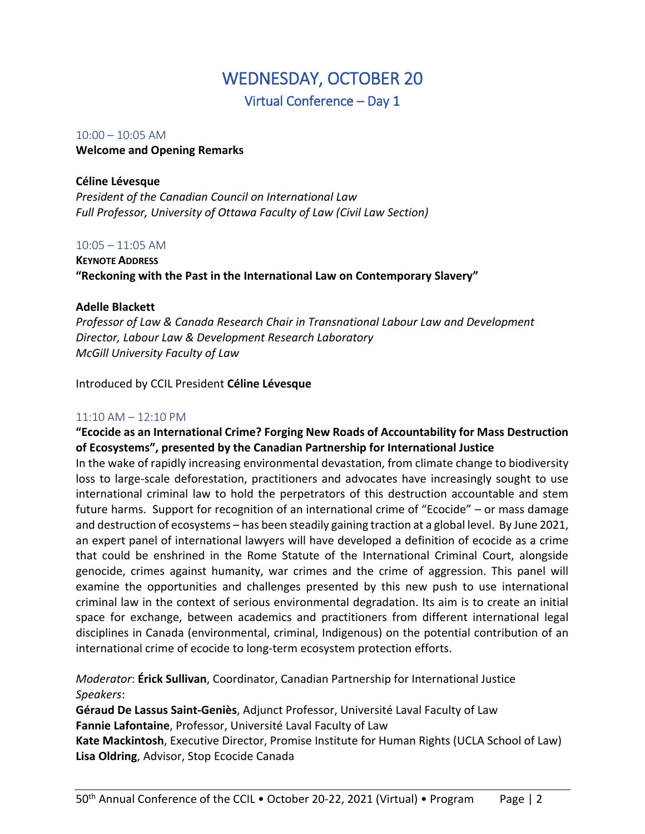# WEDNESDAY, OCTOBER 20

Virtual Conference – Day 1

## 10:00 – 10:05 AM **Welcome and Opening Remarks**

## **Céline Lévesque**

*President of the Canadian Council on International Law Full Professor, University of Ottawa Faculty of Law (Civil Law Section)*

## $10:05 - 11:05$  AM

**KEYNOTE ADDRESS "Reckoning with the Past in the International Law on Contemporary Slavery"**

## **Adelle Blackett**

*Professor of Law & Canada Research Chair in Transnational Labour Law and Development Director, Labour Law & Development Research Laboratory McGill University Faculty of Law*

Introduced by CCIL President **Céline Lévesque**

## 11:10 AM – 12:10 PM

## **"Ecocide as an International Crime? Forging New Roads of Accountability for Mass Destruction of Ecosystems", presented by the Canadian Partnership for International Justice**

In the wake of rapidly increasing environmental devastation, from climate change to biodiversity loss to large-scale deforestation, practitioners and advocates have increasingly sought to use international criminal law to hold the perpetrators of this destruction accountable and stem future harms. Support for recognition of an international crime of "Ecocide" – or mass damage and destruction of ecosystems – has been steadily gaining traction at a global level. By June 2021, an expert panel of international lawyers will have developed a definition of ecocide as a crime that could be enshrined in the Rome Statute of the International Criminal Court, alongside genocide, crimes against humanity, war crimes and the crime of aggression. This panel will examine the opportunities and challenges presented by this new push to use international criminal law in the context of serious environmental degradation. Its aim is to create an initial space for exchange, between academics and practitioners from different international legal disciplines in Canada (environmental, criminal, Indigenous) on the potential contribution of an international crime of ecocide to long-term ecosystem protection efforts.

*Moderator*: **Érick Sullivan**, Coordinator, Canadian Partnership for International Justice *Speakers*:

**Géraud De Lassus Saint-Geniès**, Adjunct Professor, Université Laval Faculty of Law **Fannie Lafontaine**, Professor, Université Laval Faculty of Law **Kate Mackintosh**, Executive Director, Promise Institute for Human Rights (UCLA School of Law)

**Lisa Oldring**, Advisor, Stop Ecocide Canada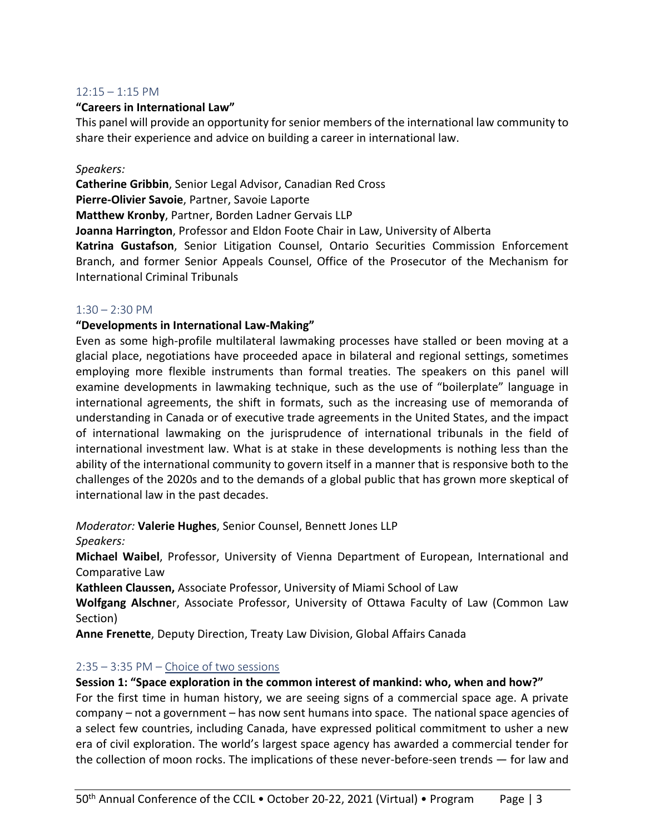#### $12:15 - 1:15$  PM

#### **"Careers in International Law"**

This panel will provide an opportunity for senior members of the international law community to share their experience and advice on building a career in international law.

#### *Speakers:*

**Catherine Gribbin**, Senior Legal Advisor, Canadian Red Cross **Pierre-Olivier Savoie**, Partner, Savoie Laporte **Matthew Kronby**, Partner, Borden Ladner Gervais LLP **Joanna Harrington**, Professor and Eldon Foote Chair in Law, University of Alberta

**Katrina Gustafson**, Senior Litigation Counsel, Ontario Securities Commission Enforcement Branch, and former Senior Appeals Counsel, Office of the Prosecutor of the Mechanism for International Criminal Tribunals

#### $1:30 - 2:30$  PM

#### **"Developments in International Law-Making"**

Even as some high-profile multilateral lawmaking processes have stalled or been moving at a glacial place, negotiations have proceeded apace in bilateral and regional settings, sometimes employing more flexible instruments than formal treaties. The speakers on this panel will examine developments in lawmaking technique, such as the use of "boilerplate" language in international agreements, the shift in formats, such as the increasing use of memoranda of understanding in Canada or of executive trade agreements in the United States, and the impact of international lawmaking on the jurisprudence of international tribunals in the field of international investment law. What is at stake in these developments is nothing less than the ability of the international community to govern itself in a manner that is responsive both to the challenges of the 2020s and to the demands of a global public that has grown more skeptical of international law in the past decades.

*Moderator:* **Valerie Hughes**, Senior Counsel, Bennett Jones LLP

#### *Speakers:*

**Michael Waibel**, Professor, University of Vienna Department of European, International and Comparative Law

**Kathleen Claussen,** Associate Professor, University of Miami School of Law

**Wolfgang Alschne**r, Associate Professor, University of Ottawa Faculty of Law (Common Law Section)

**Anne Frenette**, Deputy Direction, Treaty Law Division, Global Affairs Canada

## 2:35 – 3:35 PM – Choice of two sessions

## **Session 1: "Space exploration in the common interest of mankind: who, when and how?"**

For the first time in human history, we are seeing signs of a commercial space age. A private company – not a government – has now sent humans into space. The national space agencies of a select few countries, including Canada, have expressed political commitment to usher a new era of civil exploration. The world's largest space agency has awarded a commercial tender for the collection of moon rocks. The implications of these never-before-seen trends — for law and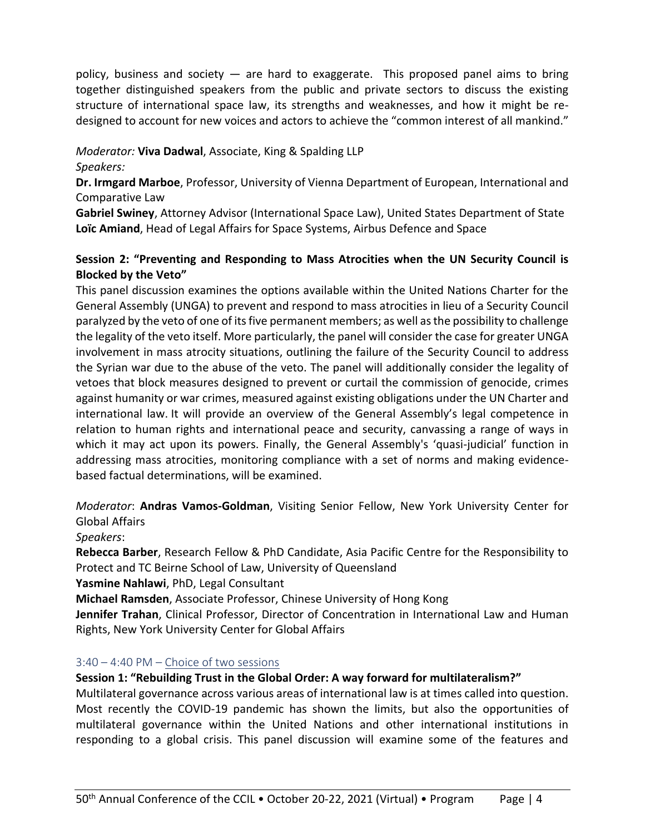policy, business and society — are hard to exaggerate. This proposed panel aims to bring together distinguished speakers from the public and private sectors to discuss the existing structure of international space law, its strengths and weaknesses, and how it might be redesigned to account for new voices and actors to achieve the "common interest of all mankind."

## *Moderator:* **Viva Dadwal**, Associate, King & Spalding LLP

*Speakers:*

**Dr. Irmgard Marboe**, Professor, University of Vienna Department of European, International and Comparative Law

**Gabriel Swiney**, Attorney Advisor (International Space Law), United States Department of State **Loïc Amiand**, Head of Legal Affairs for Space Systems, Airbus Defence and Space

## **Session 2: "Preventing and Responding to Mass Atrocities when the UN Security Council is Blocked by the Veto"**

This panel discussion examines the options available within the United Nations Charter for the General Assembly (UNGA) to prevent and respond to mass atrocities in lieu of a Security Council paralyzed by the veto of one of its five permanent members; as well as the possibility to challenge the legality of the veto itself. More particularly, the panel will consider the case for greater UNGA involvement in mass atrocity situations, outlining the failure of the Security Council to address the Syrian war due to the abuse of the veto. The panel will additionally consider the legality of vetoes that block measures designed to prevent or curtail the commission of genocide, crimes against humanity or war crimes, measured against existing obligations under the UN Charter and international law. It will provide an overview of the General Assembly's legal competence in relation to human rights and international peace and security, canvassing a range of ways in which it may act upon its powers. Finally, the General Assembly's 'quasi-judicial' function in addressing mass atrocities, monitoring compliance with a set of norms and making evidencebased factual determinations, will be examined.

*Moderator*: **Andras Vamos-Goldman**, Visiting Senior Fellow, New York University Center for Global Affairs

*Speakers*:

**Rebecca Barber**, Research Fellow & PhD Candidate, Asia Pacific Centre for the Responsibility to Protect and TC Beirne School of Law, University of Queensland

**Yasmine Nahlawi**, PhD, Legal Consultant

**Michael Ramsden**, Associate Professor, Chinese University of Hong Kong

**Jennifer Trahan**, Clinical Professor, Director of Concentration in International Law and Human Rights, New York University Center for Global Affairs

## 3:40 – 4:40 PM – Choice of two sessions

**Session 1: "Rebuilding Trust in the Global Order: A way forward for multilateralism?"**

Multilateral governance across various areas of international law is at times called into question. Most recently the COVID-19 pandemic has shown the limits, but also the opportunities of multilateral governance within the United Nations and other international institutions in responding to a global crisis. This panel discussion will examine some of the features and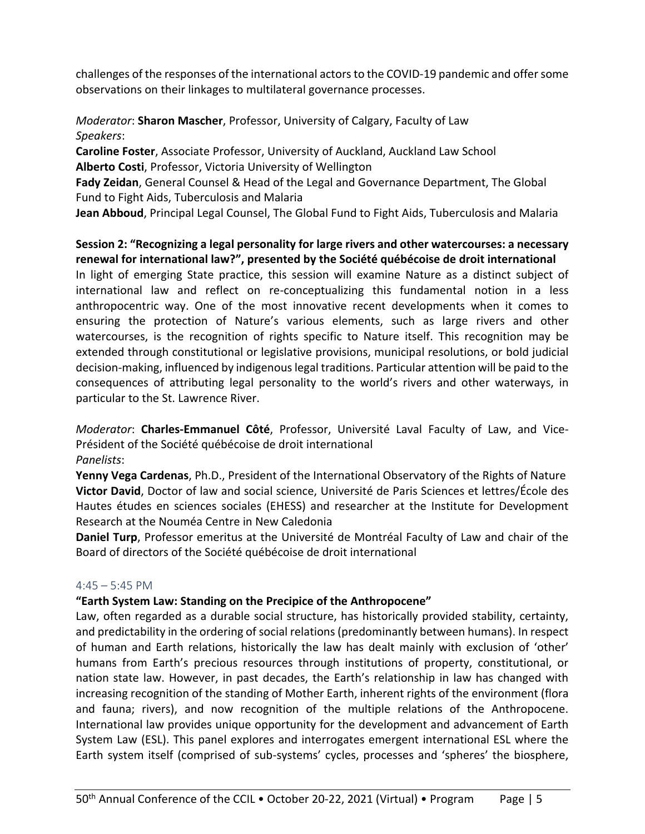challenges of the responses of the international actors to the COVID-19 pandemic and offer some observations on their linkages to multilateral governance processes.

## *Moderator*: **Sharon Mascher**, Professor, University of Calgary, Faculty of Law *Speakers*:

**Caroline Foster**, Associate Professor, University of Auckland, Auckland Law School **Alberto Costi**, Professor, Victoria University of Wellington

**Fady Zeidan**, General Counsel & Head of the Legal and Governance Department, The Global Fund to Fight Aids, Tuberculosis and Malaria

**Jean Abboud**, Principal Legal Counsel, The Global Fund to Fight Aids, Tuberculosis and Malaria

## **Session 2: "Recognizing a legal personality for large rivers and other watercourses: a necessary renewal for international law?", presented by the Société québécoise de droit international**

In light of emerging State practice, this session will examine Nature as a distinct subject of international law and reflect on re-conceptualizing this fundamental notion in a less anthropocentric way. One of the most innovative recent developments when it comes to ensuring the protection of Nature's various elements, such as large rivers and other watercourses, is the recognition of rights specific to Nature itself. This recognition may be extended through constitutional or legislative provisions, municipal resolutions, or bold judicial decision-making, influenced by indigenous legal traditions. Particular attention will be paid to the consequences of attributing legal personality to the world's rivers and other waterways, in particular to the St. Lawrence River.

*Moderator*: **Charles-Emmanuel Côté**, Professor, Université Laval Faculty of Law, and Vice-Président of the Société québécoise de droit international *Panelists*:

**Yenny Vega Cardenas**, Ph.D., President of the International Observatory of the Rights of Nature **Victor David**, Doctor of law and social science, Université de Paris Sciences et lettres/École des Hautes études en sciences sociales (EHESS) and researcher at the Institute for Development Research at the Nouméa Centre in New Caledonia

**Daniel Turp**, Professor emeritus at the Université de Montréal Faculty of Law and chair of the Board of directors of the Société québécoise de droit international

## $4:45 - 5:45$  PM

## **"Earth System Law: Standing on the Precipice of the Anthropocene"**

Law, often regarded as a durable social structure, has historically provided stability, certainty, and predictability in the ordering of social relations (predominantly between humans). In respect of human and Earth relations, historically the law has dealt mainly with exclusion of 'other' humans from Earth's precious resources through institutions of property, constitutional, or nation state law. However, in past decades, the Earth's relationship in law has changed with increasing recognition of the standing of Mother Earth, inherent rights of the environment (flora and fauna; rivers), and now recognition of the multiple relations of the Anthropocene. International law provides unique opportunity for the development and advancement of Earth System Law (ESL). This panel explores and interrogates emergent international ESL where the Earth system itself (comprised of sub-systems' cycles, processes and 'spheres' the biosphere,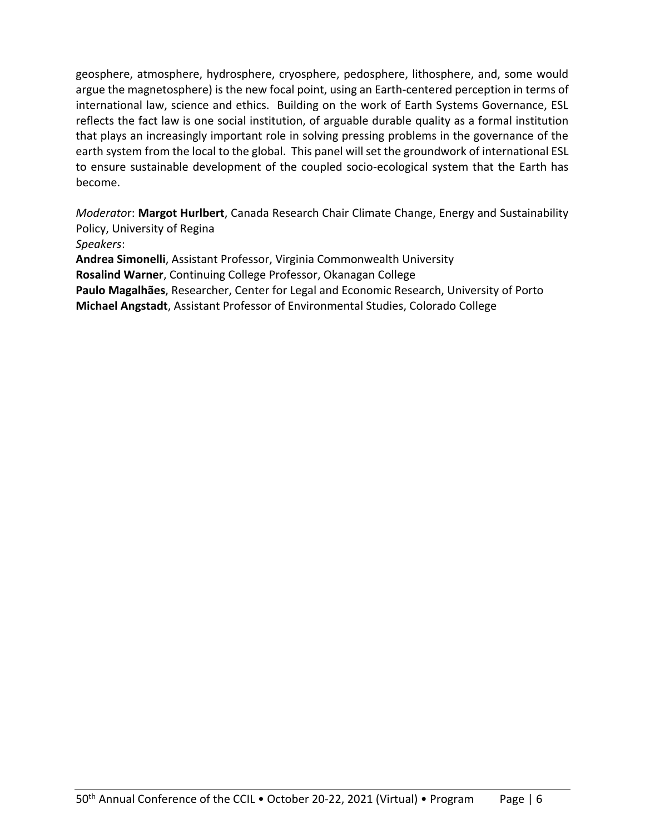geosphere, atmosphere, hydrosphere, cryosphere, pedosphere, lithosphere, and, some would argue the magnetosphere) is the new focal point, using an Earth-centered perception in terms of international law, science and ethics. Building on the work of Earth Systems Governance, ESL reflects the fact law is one social institution, of arguable durable quality as a formal institution that plays an increasingly important role in solving pressing problems in the governance of the earth system from the local to the global. This panel will set the groundwork of international ESL to ensure sustainable development of the coupled socio-ecological system that the Earth has become.

*Moderato*r: **Margot Hurlbert**, Canada Research Chair Climate Change, Energy and Sustainability Policy, University of Regina *Speakers*:

**Andrea Simonelli**, Assistant Professor, Virginia Commonwealth University **Rosalind Warner**, Continuing College Professor, Okanagan College **Paulo Magalhães**, Researcher, Center for Legal and Economic Research, University of Porto **Michael Angstadt**, Assistant Professor of Environmental Studies, Colorado College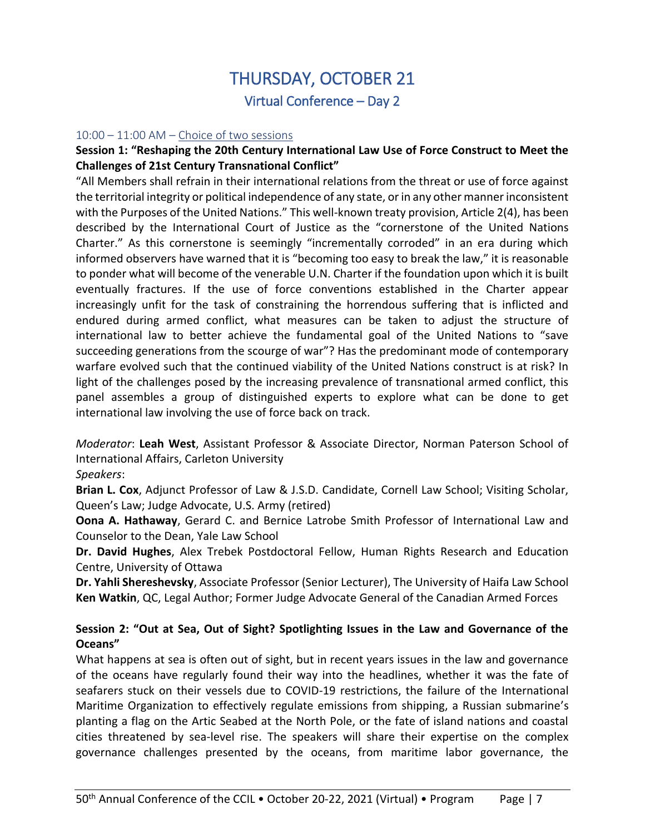## THURSDAY, OCTOBER 21 Virtual Conference – Day 2

#### $10:00 - 11:00$  AM – Choice of two sessions

#### **Session 1: "Reshaping the 20th Century International Law Use of Force Construct to Meet the Challenges of 21st Century Transnational Conflict"**

"All Members shall refrain in their international relations from the threat or use of force against the territorial integrity or political independence of any state, or in any other manner inconsistent with the Purposes of the United Nations." This well-known treaty provision, Article 2(4), has been described by the International Court of Justice as the "cornerstone of the United Nations Charter." As this cornerstone is seemingly "incrementally corroded" in an era during which informed observers have warned that it is "becoming too easy to break the law," it is reasonable to ponder what will become of the venerable U.N. Charter if the foundation upon which it is built eventually fractures. If the use of force conventions established in the Charter appear increasingly unfit for the task of constraining the horrendous suffering that is inflicted and endured during armed conflict, what measures can be taken to adjust the structure of international law to better achieve the fundamental goal of the United Nations to "save succeeding generations from the scourge of war"? Has the predominant mode of contemporary warfare evolved such that the continued viability of the United Nations construct is at risk? In light of the challenges posed by the increasing prevalence of transnational armed conflict, this panel assembles a group of distinguished experts to explore what can be done to get international law involving the use of force back on track.

*Moderator*: **Leah West**, Assistant Professor & Associate Director, Norman Paterson School of International Affairs, Carleton University

#### *Speakers*:

**Brian L. Cox**, Adjunct Professor of Law & J.S.D. Candidate, Cornell Law School; Visiting Scholar, Queen's Law; Judge Advocate, U.S. Army (retired)

**Oona A. Hathaway**, Gerard C. and Bernice Latrobe Smith Professor of International Law and Counselor to the Dean, Yale Law School

**Dr. David Hughes**, Alex Trebek Postdoctoral Fellow, Human Rights Research and Education Centre, University of Ottawa

**Dr. Yahli Shereshevsky**, Associate Professor (Senior Lecturer), The University of Haifa Law School **Ken Watkin**, QC, Legal Author; Former Judge Advocate General of the Canadian Armed Forces

## **Session 2: "Out at Sea, Out of Sight? Spotlighting Issues in the Law and Governance of the Oceans"**

What happens at sea is often out of sight, but in recent years issues in the law and governance of the oceans have regularly found their way into the headlines, whether it was the fate of seafarers stuck on their vessels due to COVID-19 restrictions, the failure of the International Maritime Organization to effectively regulate emissions from shipping, a Russian submarine's planting a flag on the Artic Seabed at the North Pole, or the fate of island nations and coastal cities threatened by sea-level rise. The speakers will share their expertise on the complex governance challenges presented by the oceans, from maritime labor governance, the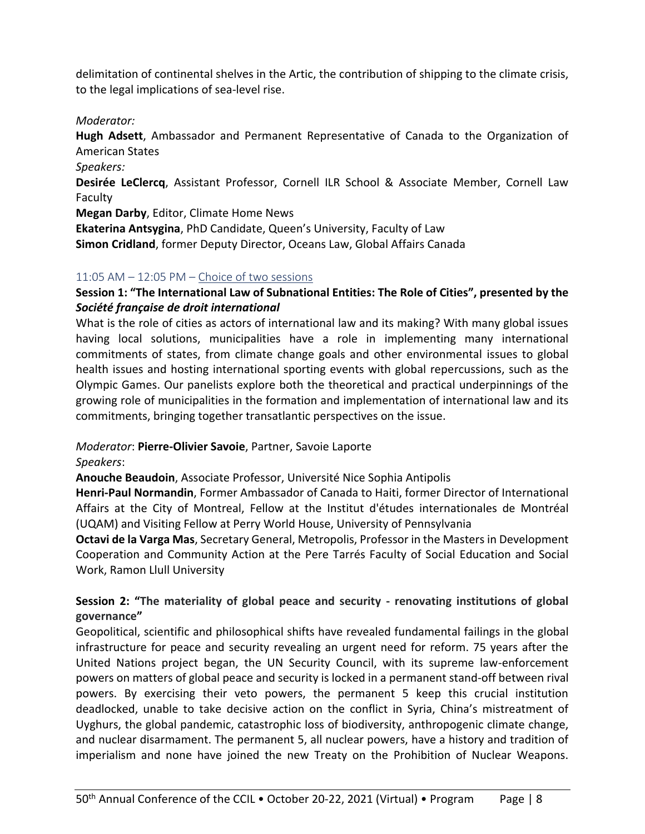delimitation of continental shelves in the Artic, the contribution of shipping to the climate crisis, to the legal implications of sea-level rise.

#### *Moderator:*

**Hugh Adsett**, Ambassador and Permanent Representative of Canada to the Organization of American States

*Speakers:*

**Desirée LeClercq**, Assistant Professor, Cornell ILR School & Associate Member, Cornell Law Faculty

**Megan Darby**, Editor, Climate Home News

**Ekaterina Antsygina**, PhD Candidate, Queen's University, Faculty of Law **Simon Cridland**, former Deputy Director, Oceans Law, Global Affairs Canada

#### 11:05 AM – 12:05 PM – Choice of two sessions

## **Session 1: "The International Law of Subnational Entities: The Role of Cities", presented by the**  *Société française de droit international*

What is the role of cities as actors of international law and its making? With many global issues having local solutions, municipalities have a role in implementing many international commitments of states, from climate change goals and other environmental issues to global health issues and hosting international sporting events with global repercussions, such as the Olympic Games. Our panelists explore both the theoretical and practical underpinnings of the growing role of municipalities in the formation and implementation of international law and its commitments, bringing together transatlantic perspectives on the issue.

*Moderator*: **Pierre-Olivier Savoie**, Partner, Savoie Laporte

*Speakers*:

**Anouche Beaudoin**, Associate Professor, Université Nice Sophia Antipolis

**Henri-Paul Normandin**, Former Ambassador of Canada to Haiti, former Director of International Affairs at the City of Montreal, Fellow at the Institut d'études internationales de Montréal (UQAM) and Visiting Fellow at Perry World House, University of Pennsylvania

**Octavi de la Varga Mas**, Secretary General, Metropolis, Professor in the Masters in Development Cooperation and Community Action at the Pere Tarrés Faculty of Social Education and Social Work, Ramon Llull University

## **Session 2: "The materiality of global peace and security - renovating institutions of global governance"**

Geopolitical, scientific and philosophical shifts have revealed fundamental failings in the global infrastructure for peace and security revealing an urgent need for reform. 75 years after the United Nations project began, the UN Security Council, with its supreme law-enforcement powers on matters of global peace and security is locked in a permanent stand-off between rival powers. By exercising their veto powers, the permanent 5 keep this crucial institution deadlocked, unable to take decisive action on the conflict in Syria, China's mistreatment of Uyghurs, the global pandemic, catastrophic loss of biodiversity, anthropogenic climate change, and nuclear disarmament. The permanent 5, all nuclear powers, have a history and tradition of imperialism and none have joined the new Treaty on the Prohibition of Nuclear Weapons.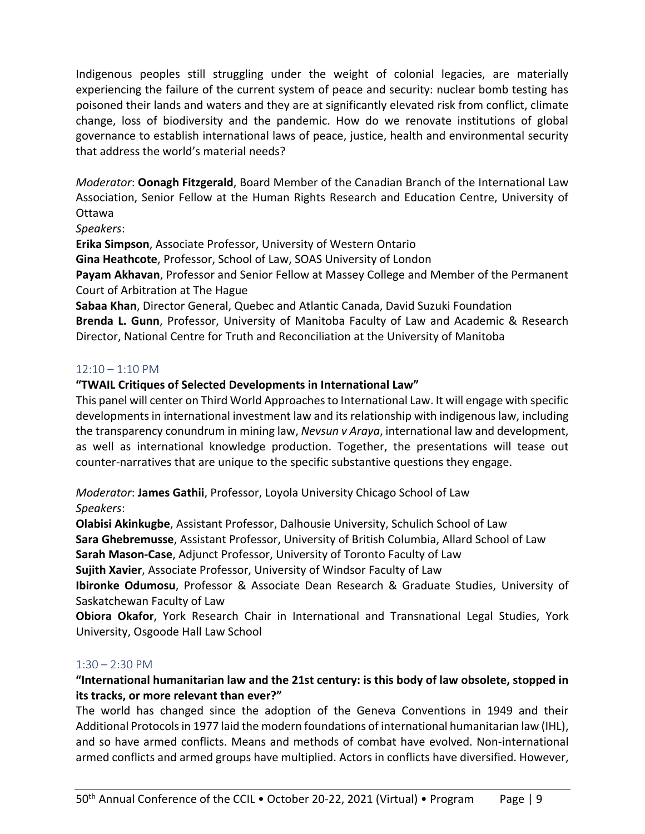Indigenous peoples still struggling under the weight of colonial legacies, are materially experiencing the failure of the current system of peace and security: nuclear bomb testing has poisoned their lands and waters and they are at significantly elevated risk from conflict, climate change, loss of biodiversity and the pandemic. How do we renovate institutions of global governance to establish international laws of peace, justice, health and environmental security that address the world's material needs?

*Moderator*: **Oonagh Fitzgerald**, Board Member of the Canadian Branch of the International Law Association, Senior Fellow at the Human Rights Research and Education Centre, University of Ottawa

*Speakers*:

**Erika Simpson**, Associate Professor, University of Western Ontario

**Gina Heathcote**, Professor, School of Law, SOAS University of London

**Payam Akhavan**, Professor and Senior Fellow at Massey College and Member of the Permanent Court of Arbitration at The Hague

**Sabaa Khan**, Director General, Quebec and Atlantic Canada, David Suzuki Foundation

**Brenda L. Gunn**, Professor, University of Manitoba Faculty of Law and Academic & Research Director, National Centre for Truth and Reconciliation at the University of Manitoba

## $12:10 - 1:10$  PM

## **"TWAIL Critiques of Selected Developments in International Law"**

This panel will center on Third World Approaches to International Law. It will engage with specific developments in international investment law and its relationship with indigenous law, including the transparency conundrum in mining law, *Nevsun v Araya*, international law and development, as well as international knowledge production. Together, the presentations will tease out counter-narratives that are unique to the specific substantive questions they engage.

*Moderator*: **James Gathii**, Professor, Loyola University Chicago School of Law *Speakers*:

**Olabisi Akinkugbe**, Assistant Professor, Dalhousie University, Schulich School of Law **Sara Ghebremusse**, Assistant Professor, University of British Columbia, Allard School of Law **Sarah Mason-Case**, Adjunct Professor, University of Toronto Faculty of Law

**Sujith Xavier**, Associate Professor, University of Windsor Faculty of Law

**Ibironke Odumosu**, Professor & Associate Dean Research & Graduate Studies, University of Saskatchewan Faculty of Law

**Obiora Okafor**, York Research Chair in International and Transnational Legal Studies, York University, Osgoode Hall Law School

## $1:30 - 2:30$  PM

## **"International humanitarian law and the 21st century: is this body of law obsolete, stopped in its tracks, or more relevant than ever?"**

The world has changed since the adoption of the Geneva Conventions in 1949 and their Additional Protocols in 1977 laid the modern foundations of international humanitarian law (IHL), and so have armed conflicts. Means and methods of combat have evolved. Non-international armed conflicts and armed groups have multiplied. Actors in conflicts have diversified. However,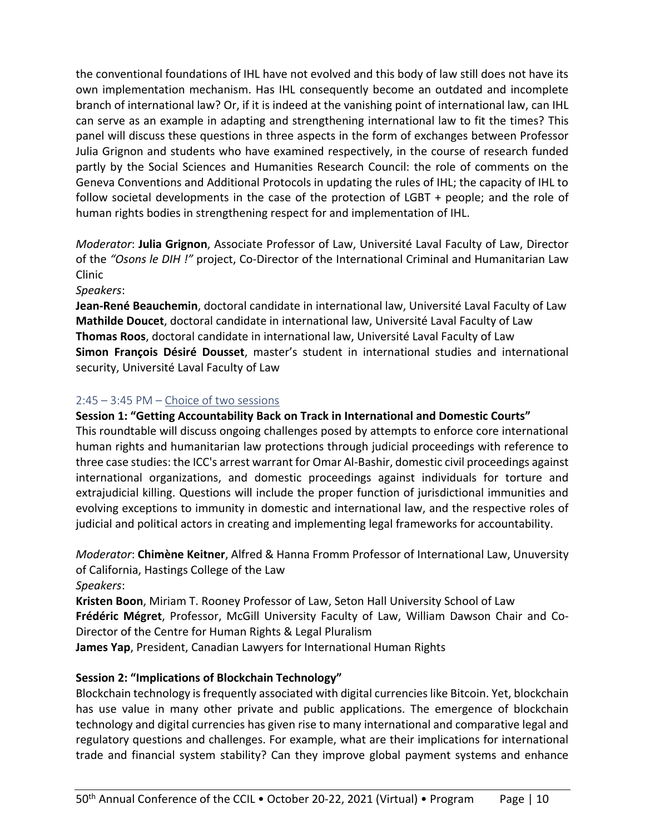the conventional foundations of IHL have not evolved and this body of law still does not have its own implementation mechanism. Has IHL consequently become an outdated and incomplete branch of international law? Or, if it is indeed at the vanishing point of international law, can IHL can serve as an example in adapting and strengthening international law to fit the times? This panel will discuss these questions in three aspects in the form of exchanges between Professor Julia Grignon and students who have examined respectively, in the course of research funded partly by the Social Sciences and Humanities Research Council: the role of comments on the Geneva Conventions and Additional Protocols in updating the rules of IHL; the capacity of IHL to follow societal developments in the case of the protection of LGBT + people; and the role of human rights bodies in strengthening respect for and implementation of IHL.

*Moderator*: **Julia Grignon**, Associate Professor of Law, Université Laval Faculty of Law, Director of the *"Osons le DIH !"* project, Co-Director of the International Criminal and Humanitarian Law Clinic

*Speakers*:

**Jean-René Beauchemin**, doctoral candidate in international law, Université Laval Faculty of Law **Mathilde Doucet**, doctoral candidate in international law, Université Laval Faculty of Law **Thomas Roos**, doctoral candidate in international law, Université Laval Faculty of Law **Simon François Désiré Dousset**, master's student in international studies and international security, Université Laval Faculty of Law

## 2:45 – 3:45 PM – Choice of two sessions

**Session 1: "Getting Accountability Back on Track in International and Domestic Courts"** This roundtable will discuss ongoing challenges posed by attempts to enforce core international human rights and humanitarian law protections through judicial proceedings with reference to three case studies: the ICC's arrest warrant for Omar Al-Bashir, domestic civil proceedings against international organizations, and domestic proceedings against individuals for torture and extrajudicial killing. Questions will include the proper function of jurisdictional immunities and evolving exceptions to immunity in domestic and international law, and the respective roles of judicial and political actors in creating and implementing legal frameworks for accountability.

*Moderator*: **Chimène Keitner**, Alfred & Hanna Fromm Professor of International Law, Unuversity of California, Hastings College of the Law

*Speakers*:

**Kristen Boon**, Miriam T. Rooney Professor of Law, Seton Hall University School of Law

**Frédéric Mégret**, Professor, McGill University Faculty of Law, William Dawson Chair and Co-Director of the Centre for Human Rights & Legal Pluralism

**James Yap**, President, Canadian Lawyers for International Human Rights

## **Session 2: "Implications of Blockchain Technology"**

Blockchain technology is frequently associated with digital currencies like Bitcoin. Yet, blockchain has use value in many other private and public applications. The emergence of blockchain technology and digital currencies has given rise to many international and comparative legal and regulatory questions and challenges. For example, what are their implications for international trade and financial system stability? Can they improve global payment systems and enhance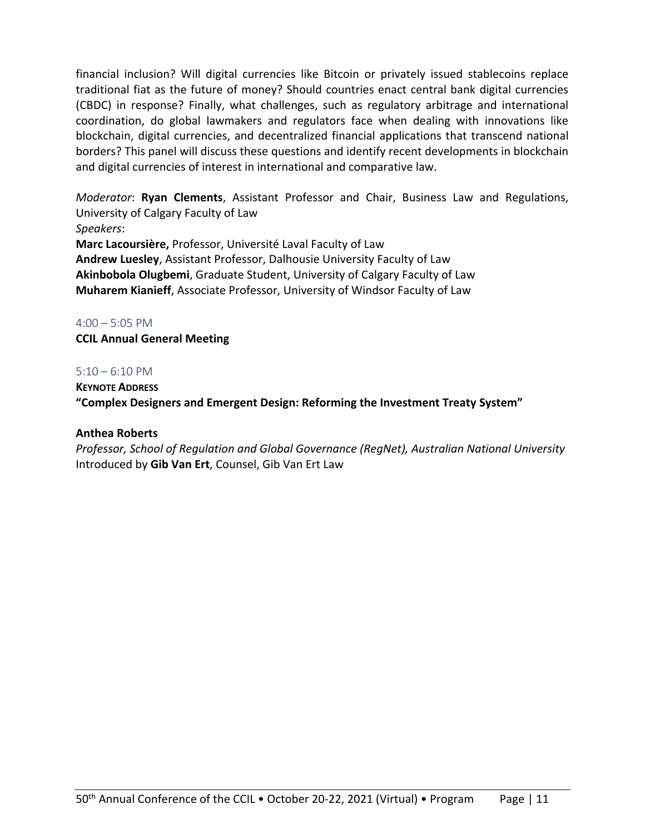financial inclusion? Will digital currencies like Bitcoin or privately issued stablecoins replace traditional fiat as the future of money? Should countries enact central bank digital currencies (CBDC) in response? Finally, what challenges, such as regulatory arbitrage and international coordination, do global lawmakers and regulators face when dealing with innovations like blockchain, digital currencies, and decentralized financial applications that transcend national borders? This panel will discuss these questions and identify recent developments in blockchain and digital currencies of interest in international and comparative law.

*Moderator*: **Ryan Clements**, Assistant Professor and Chair, Business Law and Regulations, University of Calgary Faculty of Law *Speakers*:

**Marc Lacoursière,** Professor, Université Laval Faculty of Law **Andrew Luesley**, Assistant Professor, Dalhousie University Faculty of Law **Akinbobola Olugbemi**, Graduate Student, University of Calgary Faculty of Law **Muharem Kianieff**, Associate Professor, University of Windsor Faculty of Law

#### 4:00 – 5:05 PM

**CCIL Annual General Meeting**

#### 5:10 – 6:10 PM

**KEYNOTE ADDRESS "Complex Designers and Emergent Design: Reforming the Investment Treaty System"**

## **Anthea Roberts**

*Professor, School of Regulation and Global Governance (RegNet), Australian National University* Introduced by **Gib Van Ert**, Counsel, Gib Van Ert Law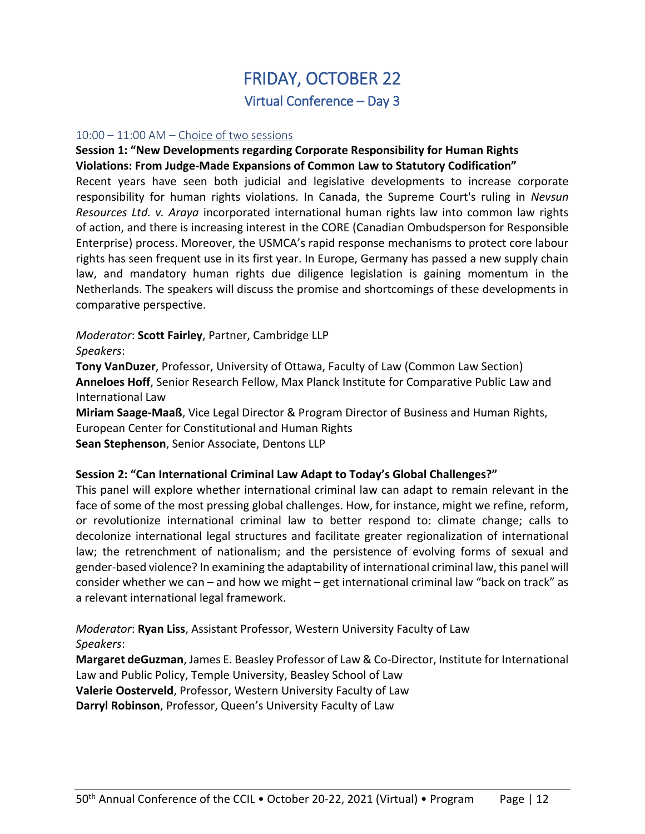## FRIDAY, OCTOBER 22 Virtual Conference – Day 3

#### $10:00 - 11:00$  AM – Choice of two sessions

#### **Session 1: "New Developments regarding Corporate Responsibility for Human Rights Violations: From Judge-Made Expansions of Common Law to Statutory Codification"**

Recent years have seen both judicial and legislative developments to increase corporate responsibility for human rights violations. In Canada, the Supreme Court's ruling in *Nevsun Resources Ltd. v. Araya* incorporated international human rights law into common law rights of action, and there is increasing interest in the CORE (Canadian Ombudsperson for Responsible Enterprise) process. Moreover, the USMCA's rapid response mechanisms to protect core labour rights has seen frequent use in its first year. In Europe, Germany has passed a new supply chain law, and mandatory human rights due diligence legislation is gaining momentum in the Netherlands. The speakers will discuss the promise and shortcomings of these developments in comparative perspective.

*Moderator*: **Scott Fairley**, Partner, Cambridge LLP

*Speakers*:

**Tony VanDuzer**, Professor, University of Ottawa, Faculty of Law (Common Law Section) **Anneloes Hoff**, Senior Research Fellow, Max Planck Institute for Comparative Public Law and International Law

**Miriam Saage-Maaß**, Vice Legal Director & Program Director of Business and Human Rights, European Center for Constitutional and Human Rights

**Sean Stephenson**, Senior Associate, Dentons LLP

## **Session 2: "Can International Criminal Law Adapt to Today's Global Challenges?"**

This panel will explore whether international criminal law can adapt to remain relevant in the face of some of the most pressing global challenges. How, for instance, might we refine, reform, or revolutionize international criminal law to better respond to: climate change; calls to decolonize international legal structures and facilitate greater regionalization of international law; the retrenchment of nationalism; and the persistence of evolving forms of sexual and gender-based violence? In examining the adaptability of international criminal law, this panel will consider whether we can – and how we might – get international criminal law "back on track" as a relevant international legal framework.

*Moderator*: **Ryan Liss**, Assistant Professor, Western University Faculty of Law *Speakers*:

**Margaret deGuzman**, James E. Beasley Professor of Law & Co-Director, Institute for International Law and Public Policy, Temple University, Beasley School of Law **Valerie Oosterveld**, Professor, Western University Faculty of Law

**Darryl Robinson**, Professor, Queen's University Faculty of Law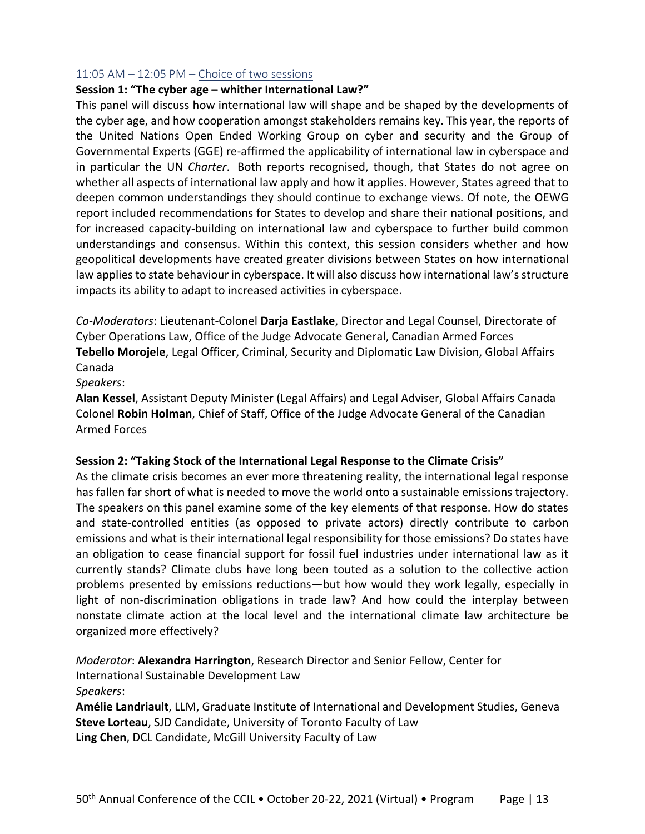#### 11:05 AM – 12:05 PM – Choice of two sessions

#### **Session 1: "The cyber age – whither International Law?"**

This panel will discuss how international law will shape and be shaped by the developments of the cyber age, and how cooperation amongst stakeholders remains key. This year, the reports of the United Nations Open Ended Working Group on cyber and security and the Group of Governmental Experts (GGE) re-affirmed the applicability of international law in cyberspace and in particular the UN *Charter*. Both reports recognised, though, that States do not agree on whether all aspects of international law apply and how it applies. However, States agreed that to deepen common understandings they should continue to exchange views. Of note, the OEWG report included recommendations for States to develop and share their national positions, and for increased capacity-building on international law and cyberspace to further build common understandings and consensus. Within this context, this session considers whether and how geopolitical developments have created greater divisions between States on how international law applies to state behaviour in cyberspace. It will also discuss how international law's structure impacts its ability to adapt to increased activities in cyberspace.

*Co-Moderators*: Lieutenant-Colonel **Darja Eastlake**, Director and Legal Counsel, Directorate of Cyber Operations Law, Office of the Judge Advocate General, Canadian Armed Forces **Tebello Morojele**, Legal Officer, Criminal, Security and Diplomatic Law Division, Global Affairs Canada

#### *Speakers*:

**Alan Kessel**, Assistant Deputy Minister (Legal Affairs) and Legal Adviser, Global Affairs Canada Colonel **Robin Holman**, Chief of Staff, Office of the Judge Advocate General of the Canadian Armed Forces

#### **Session 2: "Taking Stock of the International Legal Response to the Climate Crisis"**

As the climate crisis becomes an ever more threatening reality, the international legal response has fallen far short of what is needed to move the world onto a sustainable emissions trajectory. The speakers on this panel examine some of the key elements of that response. How do states and state-controlled entities (as opposed to private actors) directly contribute to carbon emissions and what is their international legal responsibility for those emissions? Do states have an obligation to cease financial support for fossil fuel industries under international law as it currently stands? Climate clubs have long been touted as a solution to the collective action problems presented by emissions reductions—but how would they work legally, especially in light of non-discrimination obligations in trade law? And how could the interplay between nonstate climate action at the local level and the international climate law architecture be organized more effectively?

*Moderator*: **Alexandra Harrington**, Research Director and Senior Fellow, Center for International Sustainable Development Law *Speakers*: **Amélie Landriault**, LLM, Graduate Institute of International and Development Studies, Geneva **Steve Lorteau**, SJD Candidate, University of Toronto Faculty of Law **Ling Chen**, DCL Candidate, McGill University Faculty of Law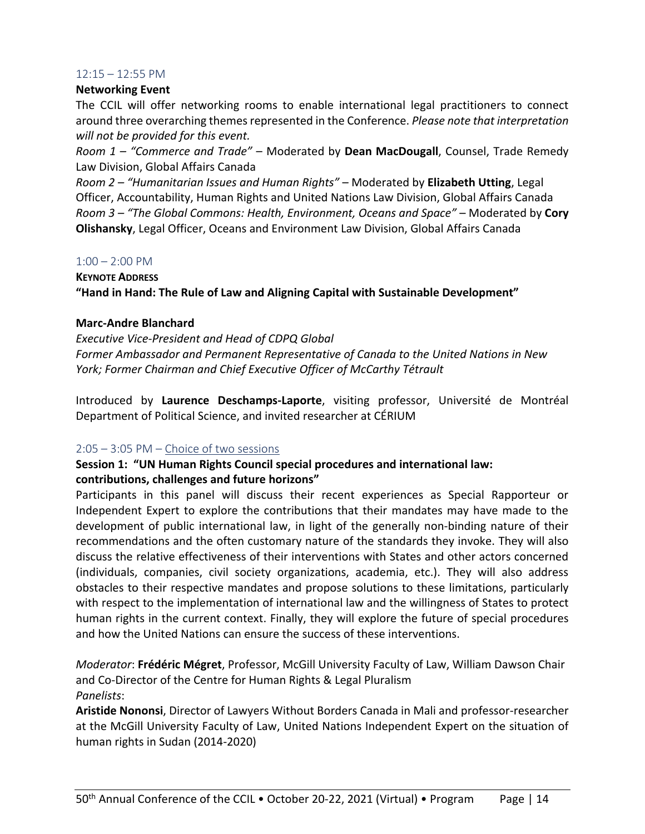#### 12:15 – 12:55 PM

#### **Networking Event**

The CCIL will offer networking rooms to enable international legal practitioners to connect around three overarching themes represented in the Conference. *Please note that interpretation will not be provided for this event.*

*Room 1 – "Commerce and Trade"* – Moderated by **Dean MacDougall**, Counsel, Trade Remedy Law Division, Global Affairs Canada

*Room 2 – "Humanitarian Issues and Human Rights"* – Moderated by **Elizabeth Utting**, Legal Officer, Accountability, Human Rights and United Nations Law Division, Global Affairs Canada *Room 3 – "The Global Commons: Health, Environment, Oceans and Space"* – Moderated by **Cory Olishansky**, Legal Officer, Oceans and Environment Law Division, Global Affairs Canada

#### $1:00 - 2:00$  PM

**KEYNOTE ADDRESS "Hand in Hand: The Rule of Law and Aligning Capital with Sustainable Development"**

#### **Marc-Andre Blanchard**

*Executive Vice-President and Head of CDPQ Global Former Ambassador and Permanent Representative of Canada to the United Nations in New York; Former Chairman and Chief Executive Officer of McCarthy Tétrault*

Introduced by **Laurence Deschamps-Laporte**, visiting professor, Université de Montréal Department of Political Science, and invited researcher at CÉRIUM

#### 2:05 – 3:05 PM – Choice of two sessions

#### **Session 1: "UN Human Rights Council special procedures and international law: contributions, challenges and future horizons"**

Participants in this panel will discuss their recent experiences as Special Rapporteur or Independent Expert to explore the contributions that their mandates may have made to the development of public international law, in light of the generally non-binding nature of their recommendations and the often customary nature of the standards they invoke. They will also discuss the relative effectiveness of their interventions with States and other actors concerned (individuals, companies, civil society organizations, academia, etc.). They will also address obstacles to their respective mandates and propose solutions to these limitations, particularly with respect to the implementation of international law and the willingness of States to protect human rights in the current context. Finally, they will explore the future of special procedures and how the United Nations can ensure the success of these interventions.

*Moderator*: **Frédéric Mégret**, Professor, McGill University Faculty of Law, William Dawson Chair and Co-Director of the Centre for Human Rights & Legal Pluralism *Panelists*:

**Aristide Nononsi**, Director of Lawyers Without Borders Canada in Mali and professor-researcher at the McGill University Faculty of Law, United Nations Independent Expert on the situation of human rights in Sudan (2014-2020)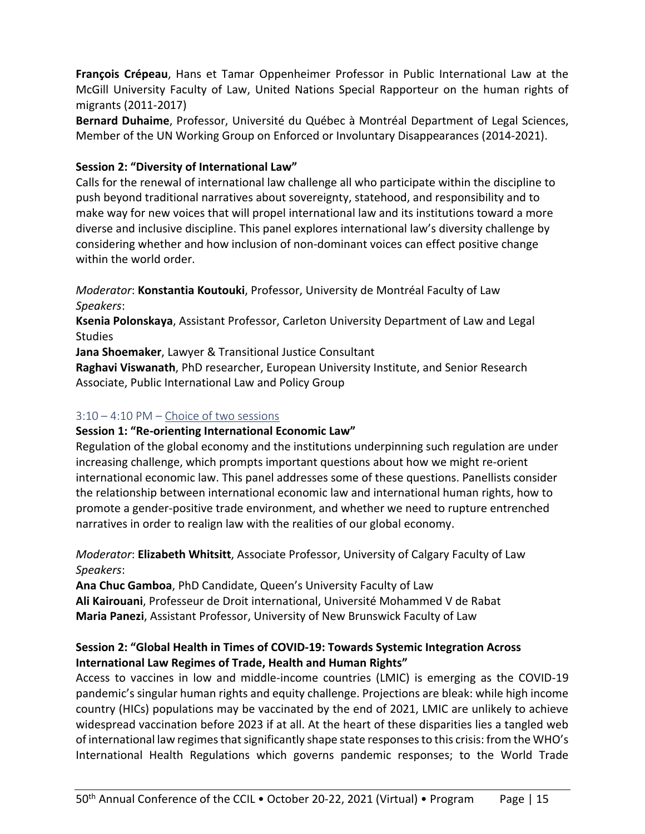**François Crépeau**, Hans et Tamar Oppenheimer Professor in Public International Law at the McGill University Faculty of Law, United Nations Special Rapporteur on the human rights of migrants (2011-2017)

**Bernard Duhaime**, Professor, Université du Québec à Montréal Department of Legal Sciences, Member of the UN Working Group on Enforced or Involuntary Disappearances (2014-2021).

## **Session 2: "Diversity of International Law"**

Calls for the renewal of international law challenge all who participate within the discipline to push beyond traditional narratives about sovereignty, statehood, and responsibility and to make way for new voices that will propel international law and its institutions toward a more diverse and inclusive discipline. This panel explores international law's diversity challenge by considering whether and how inclusion of non-dominant voices can effect positive change within the world order.

*Moderator*: **Konstantia Koutouki**, Professor, University de Montréal Faculty of Law *Speakers*:

**Ksenia Polonskaya**, Assistant Professor, Carleton University Department of Law and Legal **Studies** 

**Jana Shoemaker**, Lawyer & Transitional Justice Consultant

**Raghavi Viswanath**, PhD researcher, European University Institute, and Senior Research Associate, Public International Law and Policy Group

## 3:10 – 4:10 PM – Choice of two sessions

## **Session 1: "Re-orienting International Economic Law"**

Regulation of the global economy and the institutions underpinning such regulation are under increasing challenge, which prompts important questions about how we might re-orient international economic law. This panel addresses some of these questions. Panellists consider the relationship between international economic law and international human rights, how to promote a gender-positive trade environment, and whether we need to rupture entrenched narratives in order to realign law with the realities of our global economy.

*Moderator*: **Elizabeth Whitsitt**, Associate Professor, University of Calgary Faculty of Law *Speakers*:

**Ana Chuc Gamboa**, PhD Candidate, Queen's University Faculty of Law **Ali Kairouani**, Professeur de Droit international, Université Mohammed V de Rabat **Maria Panezi**, Assistant Professor, University of New Brunswick Faculty of Law

## **Session 2: "Global Health in Times of COVID-19: Towards Systemic Integration Across International Law Regimes of Trade, Health and Human Rights"**

Access to vaccines in low and middle-income countries (LMIC) is emerging as the COVID-19 pandemic's singular human rights and equity challenge. Projections are bleak: while high income country (HICs) populations may be vaccinated by the end of 2021, LMIC are unlikely to achieve widespread vaccination before 2023 if at all. At the heart of these disparities lies a tangled web of international law regimes that significantly shape state responses to this crisis: from the WHO's International Health Regulations which governs pandemic responses; to the World Trade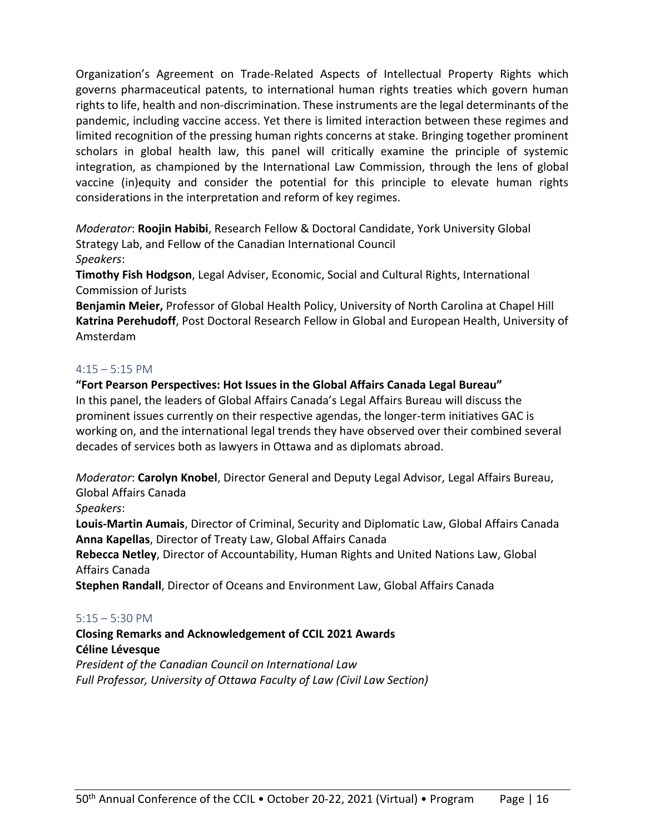Organization's Agreement on Trade-Related Aspects of Intellectual Property Rights which governs pharmaceutical patents, to international human rights treaties which govern human rights to life, health and non-discrimination. These instruments are the legal determinants of the pandemic, including vaccine access. Yet there is limited interaction between these regimes and limited recognition of the pressing human rights concerns at stake. Bringing together prominent scholars in global health law, this panel will critically examine the principle of systemic integration, as championed by the International Law Commission, through the lens of global vaccine (in)equity and consider the potential for this principle to elevate human rights considerations in the interpretation and reform of key regimes.

*Moderator*: **Roojin Habibi**, Research Fellow & Doctoral Candidate, York University Global Strategy Lab, and Fellow of the Canadian International Council *Speakers*:

**Timothy Fish Hodgson**, Legal Adviser, Economic, Social and Cultural Rights, International Commission of Jurists

**Benjamin Meier,** Professor of Global Health Policy, University of North Carolina at Chapel Hill **Katrina Perehudoff**, Post Doctoral Research Fellow in Global and European Health, University of Amsterdam

#### $4:15 - 5:15$  PM

**"Fort Pearson Perspectives: Hot Issues in the Global Affairs Canada Legal Bureau"** In this panel, the leaders of Global Affairs Canada's Legal Affairs Bureau will discuss the prominent issues currently on their respective agendas, the longer-term initiatives GAC is working on, and the international legal trends they have observed over their combined several decades of services both as lawyers in Ottawa and as diplomats abroad.

*Moderator*: **Carolyn Knobel**, Director General and Deputy Legal Advisor, Legal Affairs Bureau, Global Affairs Canada

*Speakers*:

**Louis-Martin Aumais**, Director of Criminal, Security and Diplomatic Law, Global Affairs Canada **Anna Kapellas**, Director of Treaty Law, Global Affairs Canada

**Rebecca Netley**, Director of Accountability, Human Rights and United Nations Law, Global Affairs Canada

**Stephen Randall**, Director of Oceans and Environment Law, Global Affairs Canada

## 5:15 – 5:30 PM

**Closing Remarks and Acknowledgement of CCIL 2021 Awards Céline Lévesque** *President of the Canadian Council on International Law*

*Full Professor, University of Ottawa Faculty of Law (Civil Law Section)*